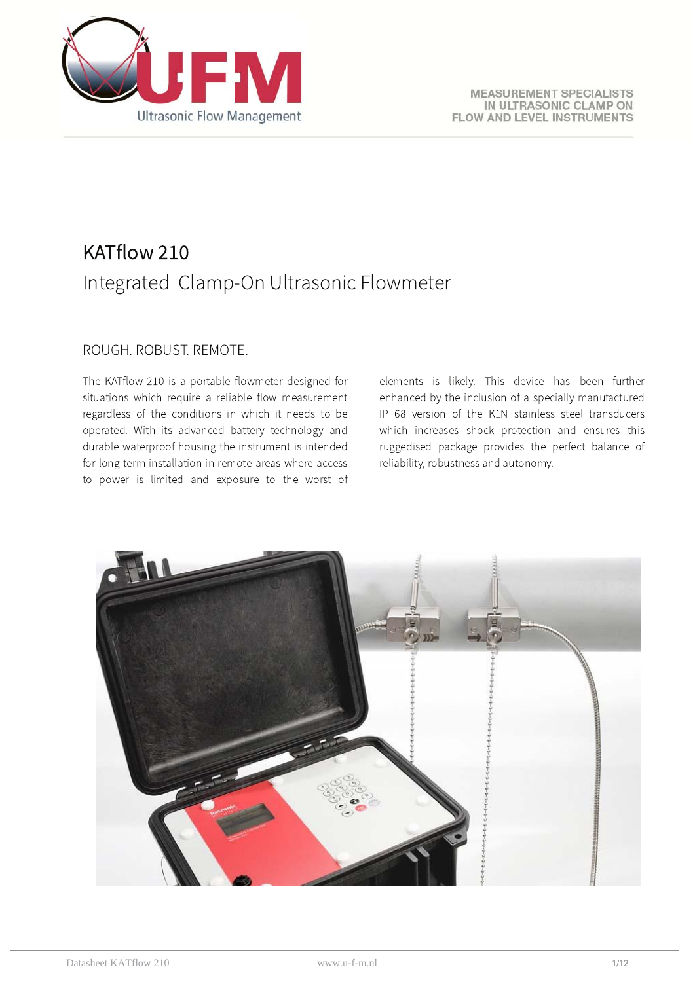

# KATflow 210 Integrated Clamp-On Ultrasonic Flowmeter

# ROUGH, ROBUST, REMOTE.

The KATflow 210 is a portable flowmeter designed for situations which require a reliable flow measurement regardless of the conditions in which it needs to be operated. With its advanced battery technology and durable waterproof housing the instrument is intended for long-term installation in remote areas where access to power is limited and exposure to the worst of elements is likely. This device has been further enhanced by the inclusion of a specially manufactured IP 68 version of the K1N stainless steel transducers which increases shock protection and ensures this ruggedised package provides the perfect balance of reliability, robustness and autonomy.

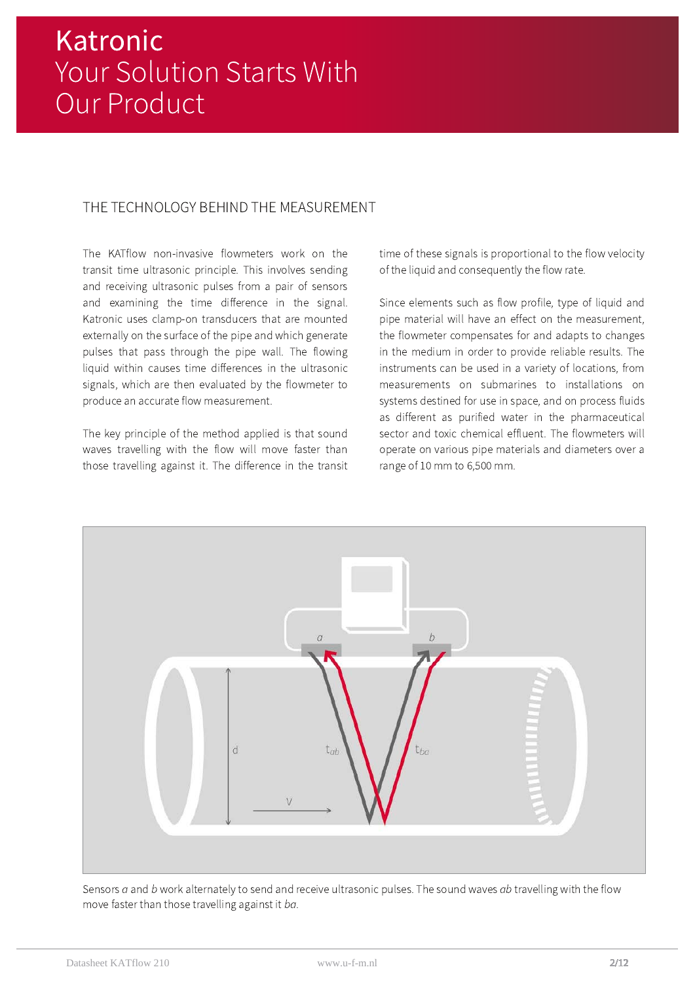# THE TECHNOLOGY BEHIND THE MEASUREMENT

The KATflow non-invasive flowmeters work on the transit time ultrasonic principle. This involves sending and receiving ultrasonic pulses from a pair of sensors and examining the time difference in the signal. Katronic uses clamp-on transducers that are mounted externally on the surface of the pipe and which generate pulses that pass through the pipe wall. The flowing liquid within causes time differences in the ultrasonic signals, which are then evaluated by the flowmeter to produce an accurate flow measurement.

The key principle of the method applied is that sound waves travelling with the flow will move faster than those travelling against it. The difference in the transit time of these signals is proportional to the flow velocity of the liquid and consequently the flow rate.

Since elements such as flow profile, type of liquid and pipe material will have an effect on the measurement, the flowmeter compensates for and adapts to changes in the medium in order to provide reliable results. The instruments can be used in a variety of locations, from measurements on submarines to installations on systems destined for use in space, and on process fluids as different as purified water in the pharmaceutical sector and toxic chemical effluent. The flowmeters will operate on various pipe materials and diameters over a range of 10 mm to 6,500 mm.



Sensors a and b work alternately to send and receive ultrasonic pulses. The sound waves ab travelling with the flow move faster than those travelling against it ba.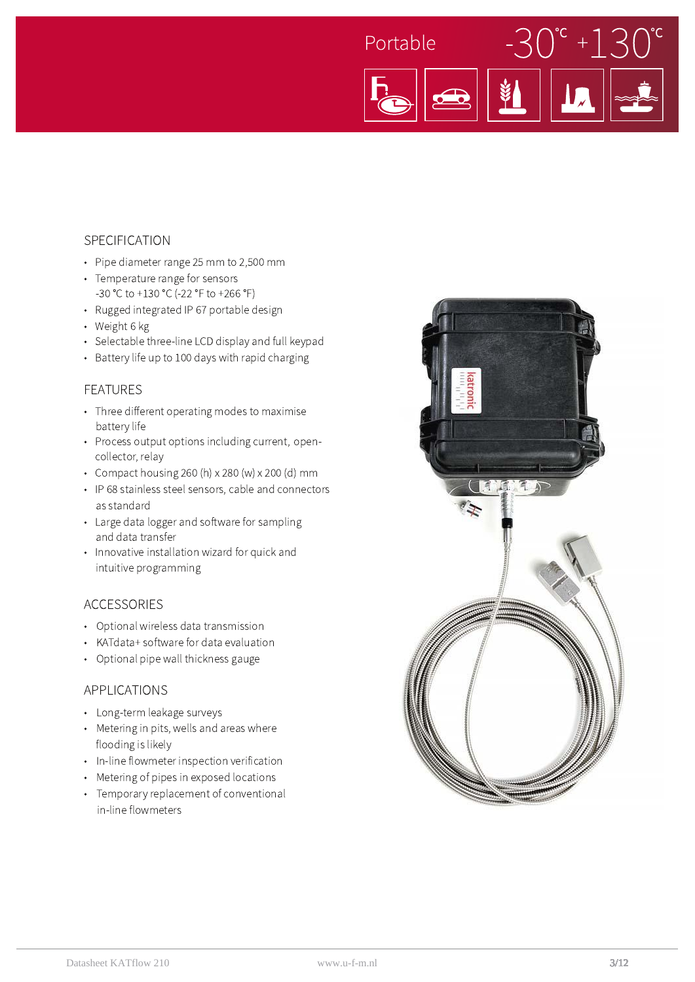

#### SPECIFICATION

- Pipe diameter range 25 mm to 2,500 mm
- Temperature range for sensors -30 °C to +130 °C (-22 °F to +266 °F)
- Rugged integrated IP 67 portable design
- · Weight 6 kg
- Selectable three-line LCD display and full keypad
- Battery life up to 100 days with rapid charging

#### **FEATURES**

- Three different operating modes to maximise battery life
- Process output options including current, opencollector, relay
- Compact housing 260 (h)  $\times$  280 (w)  $\times$  200 (d) mm
- IP 68 stainless steel sensors, cable and connectors as standard
- Large data logger and software for sampling and data transfer
- Innovative installation wizard for quick and intuitive programming

#### **ACCESSORIES**

- Optional wireless data transmission
- KATdata+ software for data evaluation
- Optional pipe wall thickness gauge

#### **APPLICATIONS**

- Long-term leakage surveys
- Metering in pits, wells and areas where flooding is likely
- In-line flowmeter inspection verification
- Metering of pipes in exposed locations
- Temporary replacement of conventional in-line flowmeters

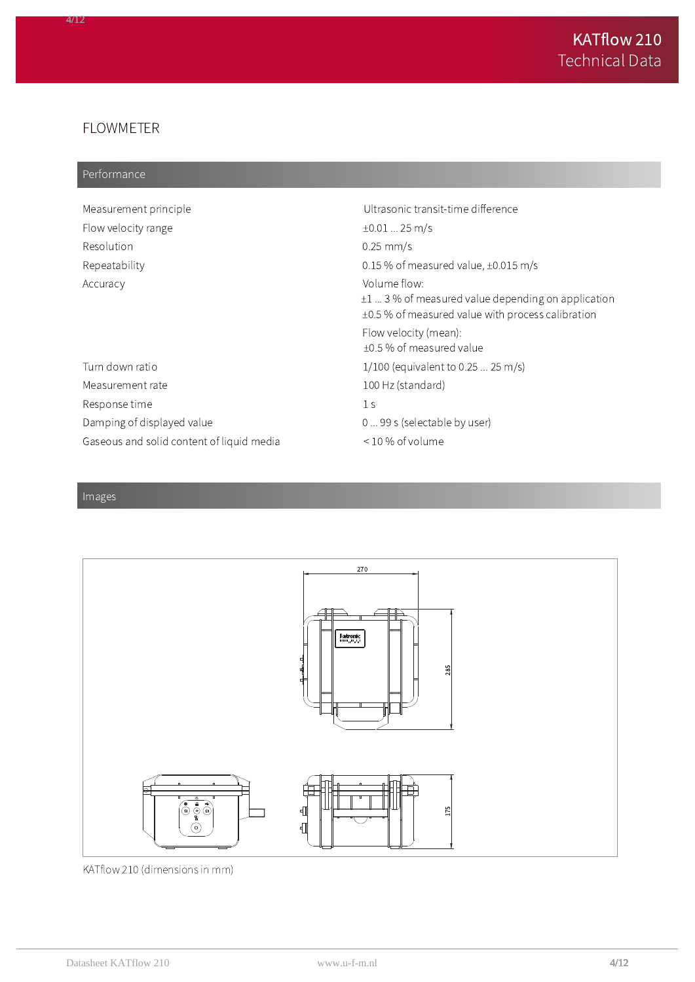# **FLOWMETER**

#### Performance

| Measurement principle                     | Ultrasonic transit-time difference                                                                                         |
|-------------------------------------------|----------------------------------------------------------------------------------------------------------------------------|
| Flow velocity range                       | $\pm 0.01$ 25 m/s                                                                                                          |
| Resolution                                | $0.25$ mm/s                                                                                                                |
| Repeatability                             | 0.15 % of measured value, $\pm 0.015$ m/s                                                                                  |
| Accuracy                                  | Volume flow:<br>$\pm 1$ 3% of measured value depending on application<br>±0.5 % of measured value with process calibration |
|                                           | Flow velocity (mean):<br>±0.5 % of measured value                                                                          |
| Turn down ratio                           | $1/100$ (equivalent to 0.25  25 m/s)                                                                                       |
| Measurement rate                          | 100 Hz (standard)                                                                                                          |
| Response time                             | 1 <sub>S</sub>                                                                                                             |
| Damping of displayed value                | 0  99 s (selectable by user)                                                                                               |
| Gaseous and solid content of liquid media | $\leq$ 10 % of volume                                                                                                      |



KATflow 210 (dimensions in mm)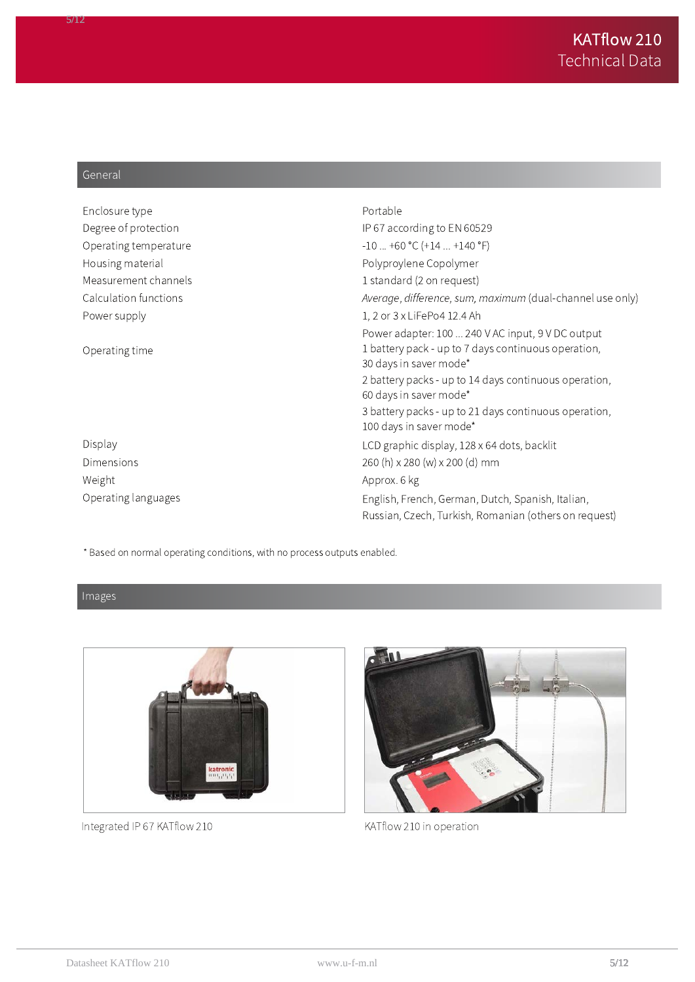### General

| Enclosure type        | Portable                                                                         |
|-----------------------|----------------------------------------------------------------------------------|
| Degree of protection  | IP 67 according to EN 60529                                                      |
| Operating temperature | $-10+60$ °C (+14  +140 °F)                                                       |
| Housing material      | Polyproylene Copolymer                                                           |
| Measurement channels  | 1 standard (2 on request)                                                        |
| Calculation functions | Average, difference, sum, maximum (dual-channel use only)                        |
| Power supply          | 1, 2 or 3 x LiFePo4 12.4 Ah                                                      |
|                       | Power adapter: 100  240 V AC input, 9 V DC output                                |
| Operating time        | 1 battery pack - up to 7 days continuous operation,<br>30 days in saver mode*    |
|                       | 2 battery packs - up to 14 days continuous operation,<br>60 days in saver mode*  |
|                       | 3 battery packs - up to 21 days continuous operation,<br>100 days in saver mode* |
| Display               | LCD graphic display, 128 x 64 dots, backlit                                      |
| Dimensions            | 260 (h) x 280 (w) x 200 (d) mm                                                   |
| Weight                | Approx. 6 kg                                                                     |
| Operating languages   | English, French, German, Dutch, Spanish, Italian,                                |
|                       | Russian, Czech, Turkish, Romanian (others on request)                            |

\* Based on normal operating conditions, with no process outputs enabled.

Images



Integrated IP 67 KATflow 210



KATflow 210 in operation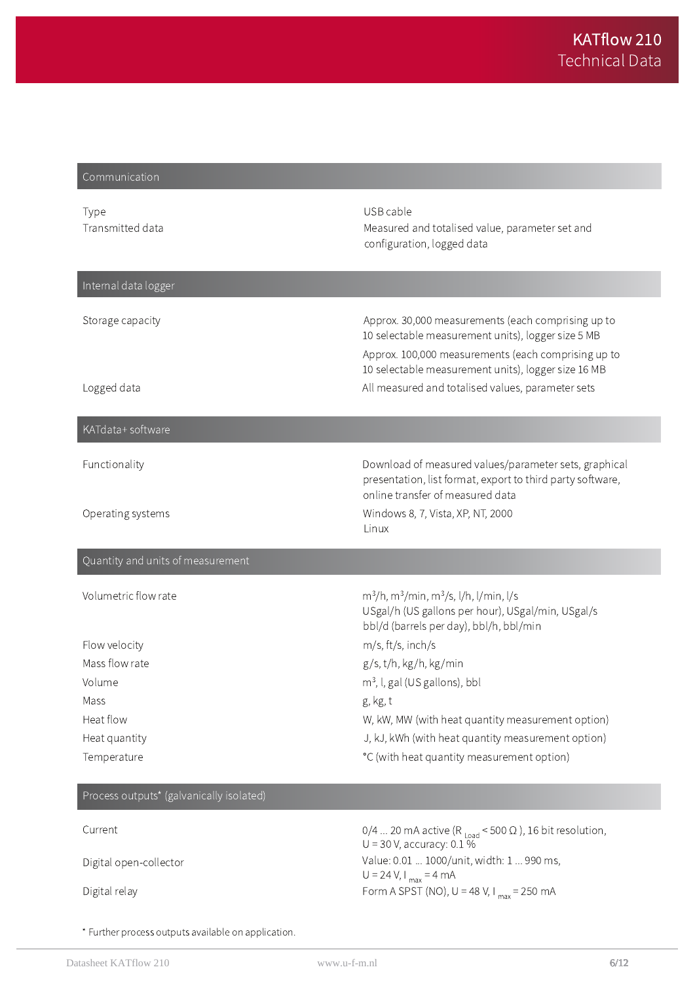# Communication

| Type<br>Transmitted data          | USB cable<br>Measured and totalised value, parameter set and<br>configuration, logged data                                                                                                                             |
|-----------------------------------|------------------------------------------------------------------------------------------------------------------------------------------------------------------------------------------------------------------------|
| Internal data logger              |                                                                                                                                                                                                                        |
| Storage capacity                  | Approx. 30,000 measurements (each comprising up to<br>10 selectable measurement units), logger size 5 MB<br>Approx. 100,000 measurements (each comprising up to<br>10 selectable measurement units), logger size 16 MB |
| Logged data                       | All measured and totalised values, parameter sets                                                                                                                                                                      |
| KATdata+ software                 |                                                                                                                                                                                                                        |
| Functionality                     | Download of measured values/parameter sets, graphical<br>presentation, list format, export to third party software,<br>online transfer of measured data                                                                |
| Operating systems                 | Windows 8, 7, Vista, XP, NT, 2000<br>Linux                                                                                                                                                                             |
| Quantity and units of measurement |                                                                                                                                                                                                                        |
| Volumetric flow rate              | $m^3/h$ , m <sup>3</sup> /min, m <sup>3</sup> /s, l/h, l/min, l/s<br>USgal/h (US gallons per hour), USgal/min, USgal/s<br>bbl/d (barrels per day), bbl/h, bbl/min                                                      |
| Flow velocity                     | m/s, ft/s, inch/s                                                                                                                                                                                                      |
| Mass flow rate                    | g/s, t/h, kg/h, kg/min                                                                                                                                                                                                 |
| Volume                            | $m3$ , I, gal (US gallons), bbl                                                                                                                                                                                        |
| Mass                              | g, kg, t                                                                                                                                                                                                               |
| Heat flow                         | W, kW, MW (with heat quantity measurement option)                                                                                                                                                                      |
| Heat quantity                     | J, kJ, kWh (with heat quantity measurement option)                                                                                                                                                                     |
| Temperature                       | °C (with heat quantity measurement option)                                                                                                                                                                             |

#### Process outputs\* (galvanically isolated)

| Current                | 0/4  20 mA active (R <sub>10ad</sub> < 500 $\Omega$ ), 16 bit resolution,<br>$U = 30$ V, accuracy: 0.1 % |
|------------------------|----------------------------------------------------------------------------------------------------------|
| Digital open-collector | Value: 0.01  1000/unit, width: 1  990 ms,<br>U = 24 V, I $_{max}$ = 4 mA                                 |
| Digital relay          | Form A SPST (NO), $U = 48 V$ , $I_{max} = 250$ mA                                                        |

\* Further process outputs available on application.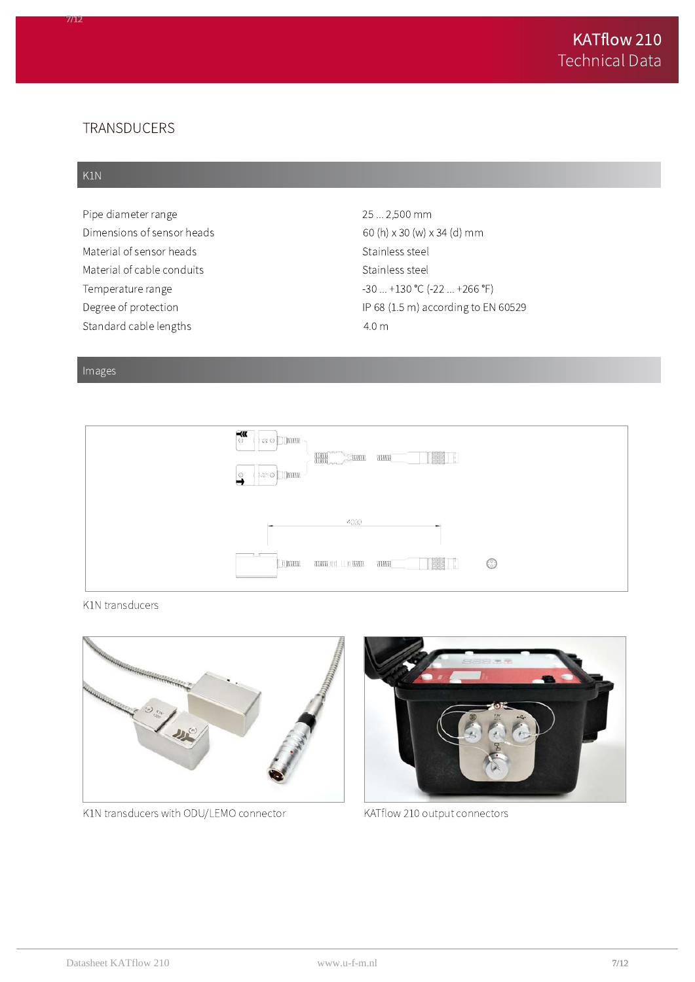### TRANSDUCERS

#### K1N

77 C

Pipe diameter range Dimensions of sensor heads Material of sensor heads Material of cable conduits Temperature range Degree of protection Standard cable lengths

25 ... 2,500 mm 60 (h) x 30 (w) x 34 (d) mm Stainless steel Stainless steel  $-30...+130$  °C  $(-22...+266$  °F) IP 68 (1.5 m) according to EN 60529  $4.0<sub>m</sub>$ 

#### Images



K1N transducers



K1N transducers with ODU/LEMO connector



KATflow 210 output connectors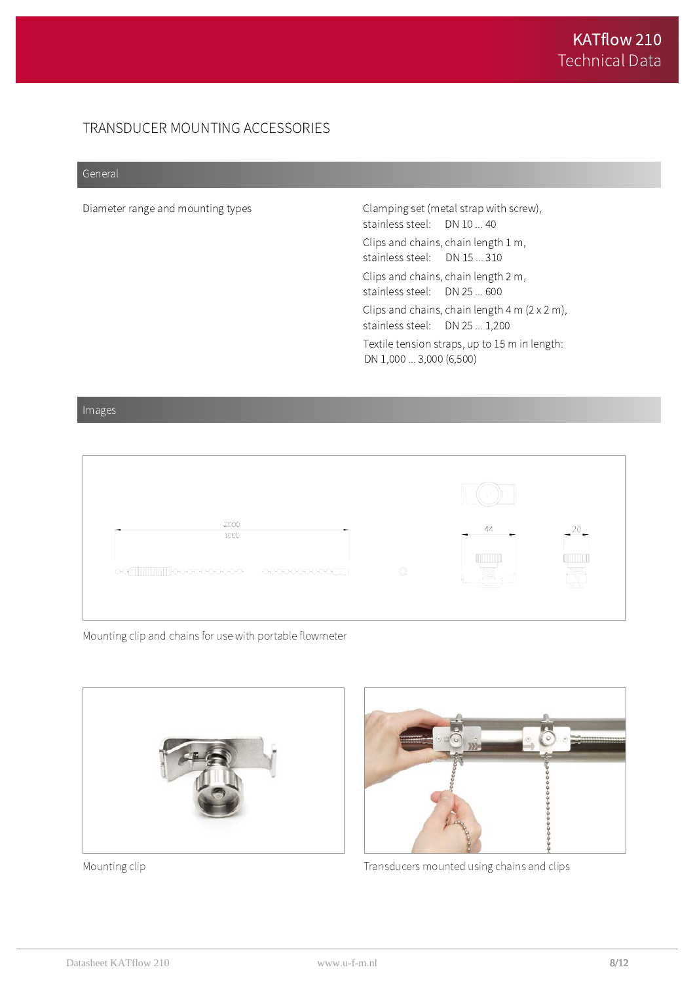# TRANSDUCER MOUNTING ACCESSORIES

#### General

Diameter range and mounting types

Clamping set (metal strap with screw), stainless steel: DN 10 ... 40 Clips and chains, chain length 1 m, stainless steel: DN 15 ... 310 Clips and chains, chain length 2 m, stainless steel: DN 25 ... 600 Clips and chains, chain length  $4 \text{ m} (2 \times 2 \text{ m})$ , stainless steel: DN 25 ... 1,200 Textile tension straps, up to 15 m in length: DN 1,000 ... 3,000 (6,500)

#### Images



Mounting clip and chains for use with portable flowmeter



Mounting clip



Transducers mounted using chains and clips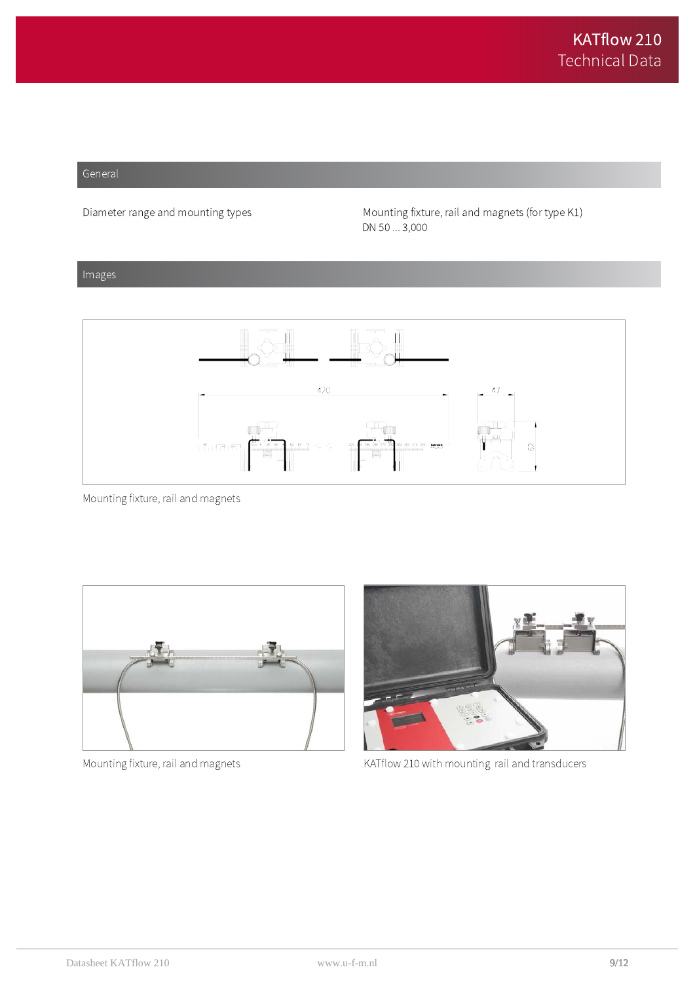#### General

Diameter range and mounting types

Mounting fixture, rail and magnets (for type K1) DN 50 ... 3,000

#### Images



Mounting fixture, rail and magnets



Mounting fixture, rail and magnets



KATflow 210 with mounting rail and transducers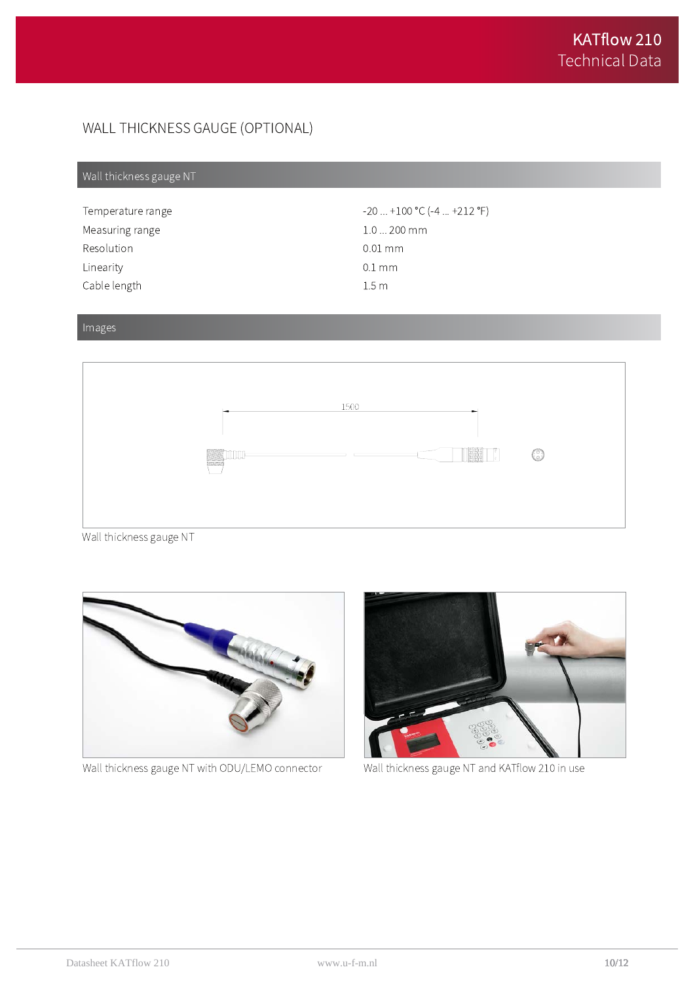# WALL THICKNESS GAUGE (OPTIONAL)

# Wall thickness gauge NT

| Temperature range | $-20$ $+100$ °C ( $-4$ $+212$ °F) |
|-------------------|-----------------------------------|
| Measuring range   | $1.0200$ mm                       |
| Resolution        | $0.01 \text{ mm}$                 |
| Linearity         | $0.1 \,\mathrm{mm}$               |
| Cable length      | 1.5 <sub>m</sub>                  |

### Images



Wall thickness gauge NT



Wall thickness gauge NT with ODU/LEMO connector



Wall thickness gauge NT and KATflow 210 in use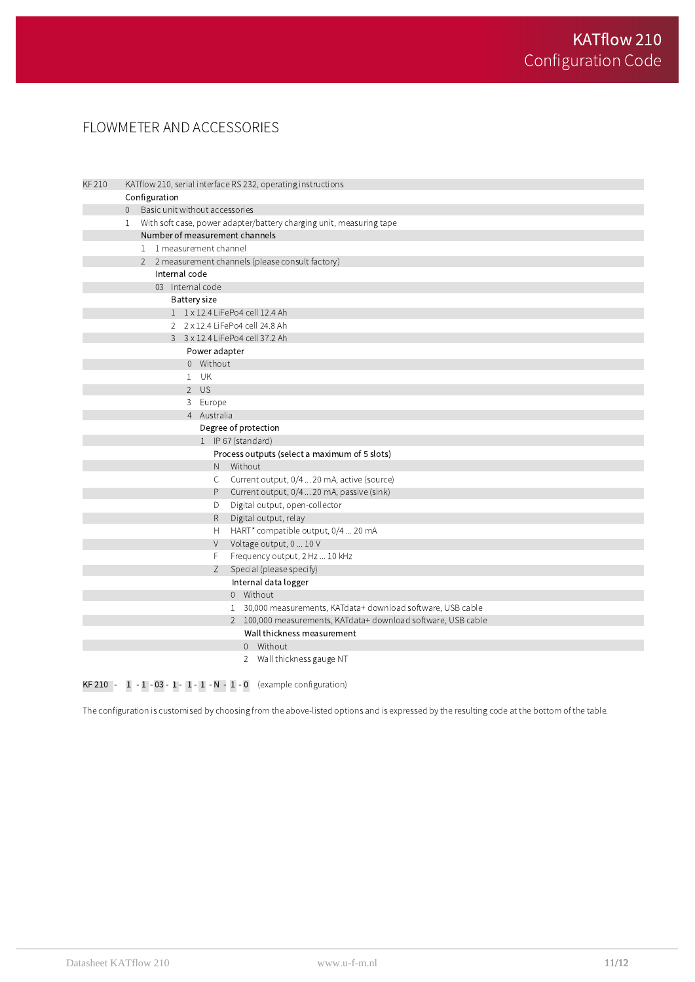# FLOWMETER AND ACCESSORIES

| KF 210 |                                 |  |               |                                |           | KATflow 210, serial interface RS 232, operating instructions        |
|--------|---------------------------------|--|---------------|--------------------------------|-----------|---------------------------------------------------------------------|
|        |                                 |  | Configuration |                                |           |                                                                     |
|        | $\overline{0}$                  |  |               | Basic unit without accessories |           |                                                                     |
|        | $\mathbf{1}$                    |  |               |                                |           | With soft case, power adapter/battery charging unit, measuring tape |
|        | Number of measurement channels  |  |               |                                |           |                                                                     |
|        |                                 |  |               | 1 1 measurement channel        |           |                                                                     |
|        |                                 |  |               |                                |           | 2 2 measurement channels (please consult factory)                   |
|        |                                 |  | Internal code |                                |           |                                                                     |
|        |                                 |  |               | 03 Internal code               |           |                                                                     |
|        | <b>Battery size</b>             |  |               |                                |           |                                                                     |
|        | 1 1 x 12.4 LiFePo4 cell 12.4 Ah |  |               |                                |           |                                                                     |
|        |                                 |  |               |                                |           | 2 2 x 12.4 LiFePo4 cell 24.8 Ah                                     |
|        |                                 |  |               |                                |           | 3 3 x 12.4 LiFePo4 cell 37.2 Ah                                     |
|        |                                 |  |               | Power adapter                  |           |                                                                     |
|        |                                 |  |               | 0 Without                      |           |                                                                     |
|        |                                 |  |               | $1$ UK                         |           |                                                                     |
|        |                                 |  |               | $2$ US                         |           |                                                                     |
|        |                                 |  |               | 3 Europe                       |           |                                                                     |
|        |                                 |  |               | 4 Australia                    |           |                                                                     |
|        |                                 |  |               |                                |           | Degree of protection                                                |
|        |                                 |  |               |                                |           | 1 IP 67 (standard)                                                  |
|        |                                 |  |               |                                |           | Process outputs (select a maximum of 5 slots)                       |
|        |                                 |  |               |                                | N Without |                                                                     |
|        |                                 |  |               |                                | C         | Current output, 0/4  20 mA, active (source)                         |
|        |                                 |  |               |                                | P.        | Current output, 0/4  20 mA, passive (sink)                          |
|        |                                 |  |               |                                | D         | Digital output, open-collector                                      |
|        |                                 |  |               |                                | R.        | Digital output, relay                                               |
|        |                                 |  |               |                                | H         | HART* compatible output, 0/4  20 mA                                 |
|        |                                 |  |               |                                | V         | Voltage output, 0  10 V                                             |
|        |                                 |  |               |                                | F         | Frequency output, 2 Hz  10 kHz                                      |
|        |                                 |  |               |                                | Ζ         | Special (please specify)                                            |
|        |                                 |  |               |                                |           | Internal data logger<br>0 Without                                   |
|        |                                 |  |               |                                |           |                                                                     |
|        |                                 |  |               |                                |           | 1 30,000 measurements, KATdata+ download software, USB cable        |
|        |                                 |  |               |                                |           | 2 100,000 measurements, KATdata+ download software, USB cable       |
|        |                                 |  |               |                                |           | Wall thickness measurement<br>0 Without                             |
|        |                                 |  |               |                                |           |                                                                     |
|        |                                 |  |               |                                |           | 2 Wall thickness gauge NT                                           |

**KF 210** -  $1 - 1 - 03 - 1 - 1 - 1 - N - 1 - 0$  (example configuration)

The configuration is customised by choosing from the above-listed options and is expressed by the resulting code at the bottom of the table.